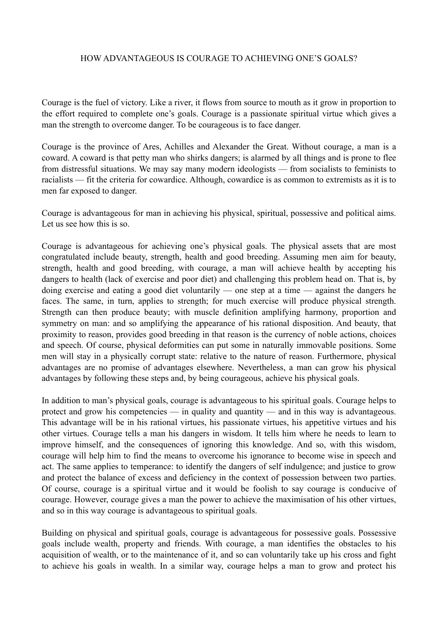## HOW ADVANTAGEOUS IS COURAGE TO ACHIEVING ONE'S GOALS?

Courage is the fuel of victory. Like a river, it flows from source to mouth as it grow in proportion to the effort required to complete one's goals. Courage is a passionate spiritual virtue which gives a man the strength to overcome danger. To be courageous is to face danger.

Courage is the province of Ares, Achilles and Alexander the Great. Without courage, a man is a coward. A coward is that petty man who shirks dangers; is alarmed by all things and is prone to flee from distressful situations. We may say many modern ideologists — from socialists to feminists to racialists — fit the criteria for cowardice. Although, cowardice is as common to extremists as it is to men far exposed to danger.

Courage is advantageous for man in achieving his physical, spiritual, possessive and political aims. Let us see how this is so.

Courage is advantageous for achieving one's physical goals. The physical assets that are most congratulated include beauty, strength, health and good breeding. Assuming men aim for beauty, strength, health and good breeding, with courage, a man will achieve health by accepting his dangers to health (lack of exercise and poor diet) and challenging this problem head on. That is, by doing exercise and eating a good diet voluntarily — one step at a time — against the dangers he faces. The same, in turn, applies to strength; for much exercise will produce physical strength. Strength can then produce beauty; with muscle definition amplifying harmony, proportion and symmetry on man: and so amplifying the appearance of his rational disposition. And beauty, that proximity to reason, provides good breeding in that reason is the currency of noble actions, choices and speech. Of course, physical deformities can put some in naturally immovable positions. Some men will stay in a physically corrupt state: relative to the nature of reason. Furthermore, physical advantages are no promise of advantages elsewhere. Nevertheless, a man can grow his physical advantages by following these steps and, by being courageous, achieve his physical goals.

In addition to man's physical goals, courage is advantageous to his spiritual goals. Courage helps to protect and grow his competencies — in quality and quantity — and in this way is advantageous. This advantage will be in his rational virtues, his passionate virtues, his appetitive virtues and his other virtues. Courage tells a man his dangers in wisdom. It tells him where he needs to learn to improve himself, and the consequences of ignoring this knowledge. And so, with this wisdom, courage will help him to find the means to overcome his ignorance to become wise in speech and act. The same applies to temperance: to identify the dangers of self indulgence; and justice to grow and protect the balance of excess and deficiency in the context of possession between two parties. Of course, courage is a spiritual virtue and it would be foolish to say courage is conducive of courage. However, courage gives a man the power to achieve the maximisation of his other virtues, and so in this way courage is advantageous to spiritual goals.

Building on physical and spiritual goals, courage is advantageous for possessive goals. Possessive goals include wealth, property and friends. With courage, a man identifies the obstacles to his acquisition of wealth, or to the maintenance of it, and so can voluntarily take up his cross and fight to achieve his goals in wealth. In a similar way, courage helps a man to grow and protect his